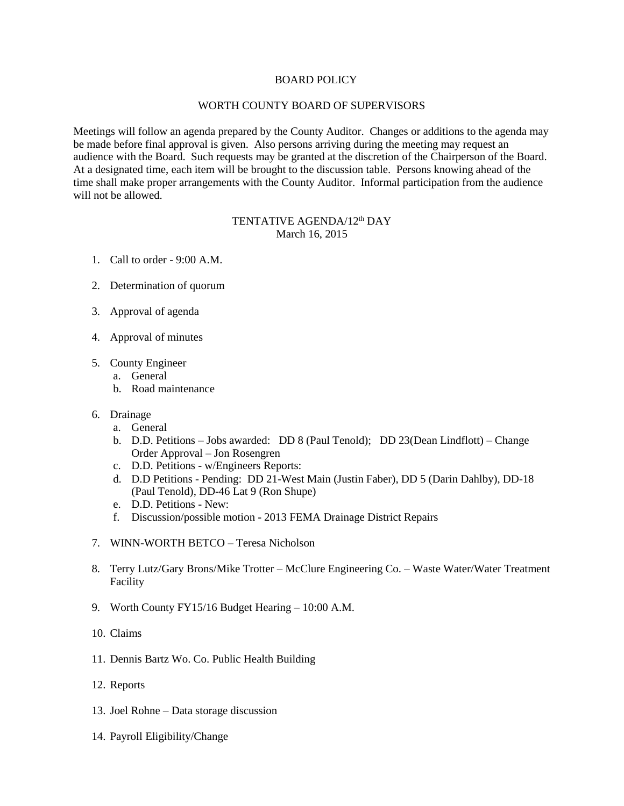## BOARD POLICY

## WORTH COUNTY BOARD OF SUPERVISORS

Meetings will follow an agenda prepared by the County Auditor. Changes or additions to the agenda may be made before final approval is given. Also persons arriving during the meeting may request an audience with the Board. Such requests may be granted at the discretion of the Chairperson of the Board. At a designated time, each item will be brought to the discussion table. Persons knowing ahead of the time shall make proper arrangements with the County Auditor. Informal participation from the audience will not be allowed.

## TENTATIVE AGENDA/12<sup>th</sup> DAY March 16, 2015

- 1. Call to order 9:00 A.M.
- 2. Determination of quorum
- 3. Approval of agenda
- 4. Approval of minutes
- 5. County Engineer
	- a. General
	- b. Road maintenance
- 6. Drainage
	- a. General
	- b. D.D. Petitions Jobs awarded: DD 8 (Paul Tenold); DD 23(Dean Lindflott) Change Order Approval – Jon Rosengren
	- c. D.D. Petitions w/Engineers Reports:
	- d. D.D Petitions Pending: DD 21-West Main (Justin Faber), DD 5 (Darin Dahlby), DD-18 (Paul Tenold), DD-46 Lat 9 (Ron Shupe)
	- e. D.D. Petitions New:
	- f. Discussion/possible motion 2013 FEMA Drainage District Repairs
- 7. WINN-WORTH BETCO Teresa Nicholson
- 8. Terry Lutz/Gary Brons/Mike Trotter McClure Engineering Co. Waste Water/Water Treatment Facility
- 9. Worth County FY15/16 Budget Hearing 10:00 A.M.
- 10. Claims
- 11. Dennis Bartz Wo. Co. Public Health Building
- 12. Reports
- 13. Joel Rohne Data storage discussion
- 14. Payroll Eligibility/Change